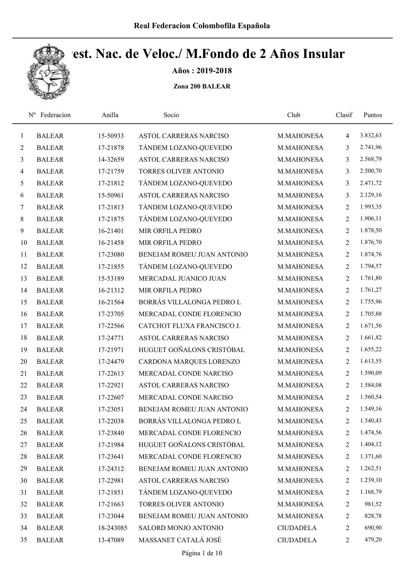

Años : 2019-2018

|                | Federacion<br>$N^{\rm o}$ | Anilla    | Socio                         | Club             | Clasif         | Puntos   |
|----------------|---------------------------|-----------|-------------------------------|------------------|----------------|----------|
| $\mathbf{1}$   | <b>BALEAR</b>             | 15-50933  | ASTOL CARRERAS NARCISO        | M.MAHONESA       | 4              | 3.832,63 |
| $\overline{2}$ | <b>BALEAR</b>             | 17-21878  | TÁNDEM LOZANO-QUEVEDO         | M.MAHONESA       | 3              | 2.741,96 |
| 3              | <b>BALEAR</b>             | 14-32659  | <b>ASTOL CARRERAS NARCISO</b> | M.MAHONESA       | 3              | 2.568,79 |
| $\overline{4}$ | <b>BALEAR</b>             | 17-21759  | TORRES OLIVER ANTONIO         | M.MAHONESA       | 3              | 2.500,70 |
| $\mathfrak{H}$ | <b>BALEAR</b>             | 17-21812  | TÁNDEM LOZANO-QUEVEDO         | M.MAHONESA       | 3              | 2.471,72 |
| 6              | <b>BALEAR</b>             | 15-50961  | <b>ASTOL CARRERAS NARCISO</b> | M.MAHONESA       | 3              | 2.129,16 |
| $\tau$         | <b>BALEAR</b>             | 17-21813  | TÁNDEM LOZANO-QUEVEDO         | M.MAHONESA       | $\overline{2}$ | 1.993,35 |
| 8              | <b>BALEAR</b>             | 17-21875  | TÁNDEM LOZANO-QUEVEDO         | M.MAHONESA       | $\overline{2}$ | 1.906,11 |
| 9              | <b>BALEAR</b>             | 16-21401  | MIR ORFILA PEDRO              | M.MAHONESA       | $\overline{2}$ | 1.878,50 |
| 10             | <b>BALEAR</b>             | 16-21458  | MIR ORFILA PEDRO              | M.MAHONESA       | 2              | 1.876,70 |
| 11             | <b>BALEAR</b>             | 17-23080  | BENEJAM ROMEU JUAN ANTONIO    | M.MAHONESA       | $\overline{2}$ | 1.874,76 |
| 12             | <b>BALEAR</b>             | 17-21855  | TÁNDEM LOZANO-QUEVEDO         | M.MAHONESA       | $\overline{2}$ | 1.794,57 |
| 13             | <b>BALEAR</b>             | 15-53189  | MERCADAL JUANICO JUAN         | M.MAHONESA       | $\overline{2}$ | 1.761,80 |
| 14             | <b>BALEAR</b>             | 16-21312  | MIR ORFILA PEDRO              | M.MAHONESA       | $\overline{2}$ | 1.761,27 |
| 15             | <b>BALEAR</b>             | 16-21564  | BORRÁS VILLALONGA PEDRO L     | M.MAHONESA       | $\overline{2}$ | 1.755,96 |
| 16             | <b>BALEAR</b>             | 17-23705  | MERCADAL CONDE FLORENCIO      | M.MAHONESA       | $\overline{2}$ | 1.705,88 |
| 17             | <b>BALEAR</b>             | 17-22566  | CATCHOT FLUXA FRANCISCO J.    | M.MAHONESA       | $\overline{c}$ | 1.671,56 |
| 18             | <b>BALEAR</b>             | 17-24771  | ASTOL CARRERAS NARCISO        | M.MAHONESA       | $\overline{2}$ | 1.661,82 |
| 19             | <b>BALEAR</b>             | 17-21971  | HUGUET GOÑALONS CRISTÓBAL     | M.MAHONESA       | $\overline{2}$ | 1.655,22 |
| 20             | <b>BALEAR</b>             | 17-24479  | CARDONA MARQUES LORENZO       | M.MAHONESA       | $\overline{2}$ | 1.613,55 |
| 21             | <b>BALEAR</b>             | 17-22613  | MERCADAL CONDE NARCISO        | M.MAHONESA       | 2              | 1.590,09 |
| 22             | <b>BALEAR</b>             | 17-22921  | ASTOL CARRERAS NARCISO        | M.MAHONESA       | 2              | 1.584,08 |
| 23             | <b>BALEAR</b>             | 17-22607  | MERCADAL CONDE NARCISO        | M.MAHONESA       | 2              | 1.560,54 |
| 24             | <b>BALEAR</b>             | 17-23051  | BENEJAM ROMEU JUAN ANTONIO    | M.MAHONESA       | $\overline{2}$ | 1.549,16 |
| 25             | <b>BALEAR</b>             | 17-22038  | BORRÁS VILLALONGA PEDRO L     | M.MAHONESA       | 2              | 1.540,43 |
| 26             | <b>BALEAR</b>             | 17-23840  | MERCADAL CONDE FLORENCIO      | M.MAHONESA       | 2              | 1.474,56 |
| 27             | <b>BALEAR</b>             | 17-21984  | HUGUET GOÑALONS CRISTÓBAL     | M.MAHONESA       | $\overline{2}$ | 1.404,12 |
| 28             | <b>BALEAR</b>             | 17-23641  | MERCADAL CONDE FLORENCIO      | M.MAHONESA       | 2              | 1.371,60 |
| 29             | <b>BALEAR</b>             | 17-24312  | BENEJAM ROMEU JUAN ANTONIO    | M.MAHONESA       | 2              | 1.262,51 |
| 30             | <b>BALEAR</b>             | 17-22981  | ASTOL CARRERAS NARCISO        | M.MAHONESA       | 2              | 1.239,10 |
| 31             | <b>BALEAR</b>             | 17-21851  | TÁNDEM LOZANO-QUEVEDO         | M.MAHONESA       | 2              | 1.168,79 |
| 32             | <b>BALEAR</b>             | 17-21663  | TORRES OLIVER ANTONIO         | M.MAHONESA       | 2              | 981,52   |
| 33             | <b>BALEAR</b>             | 17-23044  | BENEJAM ROMEU JUAN ANTONIO    | M.MAHONESA       | $\overline{c}$ | 828,78   |
| 34             | <b>BALEAR</b>             | 18-243085 | SALORD MONJO ANTONIO          | <b>CIUDADELA</b> | 2              | 690,90   |
| 35             | <b>BALEAR</b>             | 13-47089  | MASSANET CATALÁ JOSÉ          | <b>CIUDADELA</b> | $\overline{c}$ | 479,20   |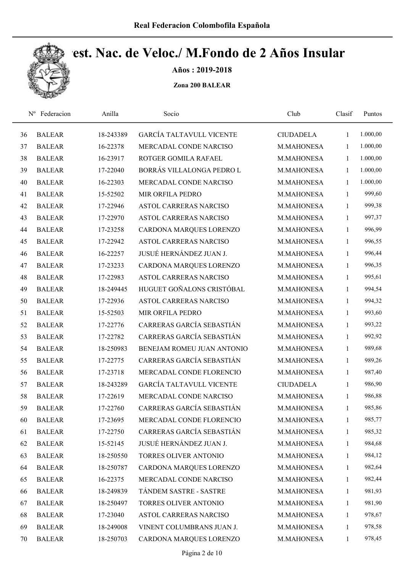

Años : 2019-2018

| $N^{\rm o}$ | Federacion    | Anilla    | Socio                           | Club             | Clasif       | Puntos   |  |
|-------------|---------------|-----------|---------------------------------|------------------|--------------|----------|--|
| 36          | <b>BALEAR</b> | 18-243389 | <b>GARCÍA TALTAVULL VICENTE</b> | <b>CIUDADELA</b> | $\mathbf{1}$ | 1.000,00 |  |
| 37          | <b>BALEAR</b> | 16-22378  | MERCADAL CONDE NARCISO          | M.MAHONESA       | 1            | 1.000,00 |  |
| 38          | <b>BALEAR</b> | 16-23917  | ROTGER GOMILA RAFAEL            | M.MAHONESA       | 1            | 1.000,00 |  |
| 39          | <b>BALEAR</b> | 17-22040  | BORRÁS VILLALONGA PEDRO L       | M.MAHONESA       | 1            | 1.000,00 |  |
| 40          | <b>BALEAR</b> | 16-22303  | MERCADAL CONDE NARCISO          | M.MAHONESA       | $\mathbf{1}$ | 1.000,00 |  |
| 41          | <b>BALEAR</b> | 15-52502  | MIR ORFILA PEDRO                | M.MAHONESA       | $\mathbf{1}$ | 999,60   |  |
| 42          | <b>BALEAR</b> | 17-22946  | <b>ASTOL CARRERAS NARCISO</b>   | M.MAHONESA       | 1            | 999,38   |  |
| 43          | <b>BALEAR</b> | 17-22970  | ASTOL CARRERAS NARCISO          | M.MAHONESA       | 1            | 997,37   |  |
| 44          | <b>BALEAR</b> | 17-23258  | CARDONA MARQUES LORENZO         | M.MAHONESA       | 1            | 996,99   |  |
| 45          | <b>BALEAR</b> | 17-22942  | <b>ASTOL CARRERAS NARCISO</b>   | M.MAHONESA       | $\mathbf{1}$ | 996,55   |  |
| 46          | <b>BALEAR</b> | 16-22257  | JUSUÉ HERNÁNDEZ JUAN J.         | M.MAHONESA       | 1            | 996,44   |  |
| 47          | <b>BALEAR</b> | 17-23233  | CARDONA MARQUES LORENZO         | M.MAHONESA       | $\mathbf{1}$ | 996,35   |  |
| 48          | <b>BALEAR</b> | 17-22983  | <b>ASTOL CARRERAS NARCISO</b>   | M.MAHONESA       | 1            | 995,61   |  |
| 49          | <b>BALEAR</b> | 18-249445 | HUGUET GOÑALONS CRISTÓBAL       | M.MAHONESA       | $\mathbf{1}$ | 994,54   |  |
| 50          | <b>BALEAR</b> | 17-22936  | ASTOL CARRERAS NARCISO          | M.MAHONESA       | 1            | 994,32   |  |
| 51          | <b>BALEAR</b> | 15-52503  | MIR ORFILA PEDRO                | M.MAHONESA       | 1            | 993,60   |  |
| 52          | <b>BALEAR</b> | 17-22776  | CARRERAS GARCÍA SEBASTIÁN       | M.MAHONESA       | 1            | 993,22   |  |
| 53          | <b>BALEAR</b> | 17-22782  | CARRERAS GARCÍA SEBASTIÁN       | M.MAHONESA       | 1            | 992,92   |  |
| 54          | <b>BALEAR</b> | 18-250983 | BENEJAM ROMEU JUAN ANTONIO      | M.MAHONESA       | $\mathbf{1}$ | 989,68   |  |
| 55          | <b>BALEAR</b> | 17-22775  | CARRERAS GARCÍA SEBASTIÁN       | M.MAHONESA       | $\mathbf{1}$ | 989,26   |  |
| 56          | <b>BALEAR</b> | 17-23718  | MERCADAL CONDE FLORENCIO        | M.MAHONESA       | 1            | 987,40   |  |
| 57          | <b>BALEAR</b> | 18-243289 | <b>GARCÍA TALTAVULL VICENTE</b> | <b>CIUDADELA</b> | 1            | 986,90   |  |
| 58          | <b>BALEAR</b> | 17-22619  | MERCADAL CONDE NARCISO          | M.MAHONESA       | 1            | 986,88   |  |
| 59          | <b>BALEAR</b> | 17-22760  | CARRERAS GARCÍA SEBASTIÁN       | M.MAHONESA       | $\mathbf{1}$ | 985,86   |  |
| 60          | <b>BALEAR</b> | 17-23695  | MERCADAL CONDE FLORENCIO        | M.MAHONESA       | $\mathbf{1}$ | 985,77   |  |
| 61          | <b>BALEAR</b> | 17-22750  | CARRERAS GARCÍA SEBASTIÁN       | M.MAHONESA       | $\mathbf{1}$ | 985,32   |  |
| 62          | <b>BALEAR</b> | 15-52145  | JUSUÉ HERNÁNDEZ JUAN J.         | M.MAHONESA       | $\mathbf{1}$ | 984,68   |  |
| 63          | <b>BALEAR</b> | 18-250550 | TORRES OLIVER ANTONIO           | M.MAHONESA       | $\mathbf{1}$ | 984,12   |  |
| 64          | <b>BALEAR</b> | 18-250787 | CARDONA MARQUES LORENZO         | M.MAHONESA       | 1            | 982,64   |  |
| 65          | <b>BALEAR</b> | 16-22375  | MERCADAL CONDE NARCISO          | M.MAHONESA       | $\mathbf{1}$ | 982,44   |  |
| 66          | <b>BALEAR</b> | 18-249839 | TÁNDEM SASTRE - SASTRE          | M.MAHONESA       | $\mathbf{1}$ | 981,93   |  |
| 67          | <b>BALEAR</b> | 18-250497 | TORRES OLIVER ANTONIO           | M.MAHONESA       | $\mathbf{1}$ | 981,90   |  |
| 68          | <b>BALEAR</b> | 17-23040  | ASTOL CARRERAS NARCISO          | M.MAHONESA       | $\mathbf{1}$ | 978,67   |  |
| 69          | <b>BALEAR</b> | 18-249008 | VINENT COLUMBRANS JUAN J.       | M.MAHONESA       | 1            | 978,58   |  |
| 70          | <b>BALEAR</b> | 18-250703 | CARDONA MARQUES LORENZO         | M.MAHONESA       | $\mathbf{1}$ | 978,45   |  |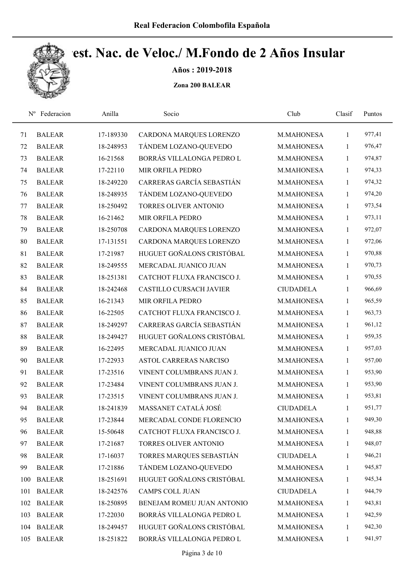

Años : 2019-2018

| $N^{\rm o}$ | Federacion    | Anilla    | Socio                          | Club             | Clasif       | Puntos |
|-------------|---------------|-----------|--------------------------------|------------------|--------------|--------|
| 71          | <b>BALEAR</b> | 17-189330 | CARDONA MARQUES LORENZO        | M.MAHONESA       | $\mathbf{1}$ | 977,41 |
| 72          | <b>BALEAR</b> | 18-248953 | TÁNDEM LOZANO-QUEVEDO          | M.MAHONESA       | 1            | 976,47 |
| 73          | <b>BALEAR</b> | 16-21568  | BORRÁS VILLALONGA PEDRO L      | M.MAHONESA       | $\mathbf{1}$ | 974,87 |
| 74          | <b>BALEAR</b> | 17-22110  | MIR ORFILA PEDRO               | M.MAHONESA       | $\mathbf{1}$ | 974,33 |
| 75          | <b>BALEAR</b> | 18-249220 | CARRERAS GARCÍA SEBASTIÁN      | M.MAHONESA       | $\mathbf{1}$ | 974,32 |
| 76          | <b>BALEAR</b> | 18-248935 | TÁNDEM LOZANO-QUEVEDO          | M.MAHONESA       | $\mathbf{1}$ | 974,20 |
| 77          | <b>BALEAR</b> | 18-250492 | TORRES OLIVER ANTONIO          | M.MAHONESA       | $\mathbf{1}$ | 973,54 |
| 78          | <b>BALEAR</b> | 16-21462  | MIR ORFILA PEDRO               | M.MAHONESA       | $\mathbf{1}$ | 973,11 |
| 79          | <b>BALEAR</b> | 18-250708 | CARDONA MARQUES LORENZO        | M.MAHONESA       | $\mathbf{1}$ | 972,07 |
| 80          | <b>BALEAR</b> | 17-131551 | CARDONA MARQUES LORENZO        | M.MAHONESA       | $\mathbf{1}$ | 972,06 |
| 81          | <b>BALEAR</b> | 17-21987  | HUGUET GOÑALONS CRISTÓBAL      | M.MAHONESA       | $\mathbf{1}$ | 970,88 |
| 82          | <b>BALEAR</b> | 18-249555 | MERCADAL JUANICO JUAN          | M.MAHONESA       | $\mathbf{1}$ | 970,73 |
| 83          | <b>BALEAR</b> | 18-251381 | CATCHOT FLUXA FRANCISCO J.     | M.MAHONESA       | $\mathbf{1}$ | 970,55 |
| 84          | <b>BALEAR</b> | 18-242468 | <b>CASTILLO CURSACH JAVIER</b> | <b>CIUDADELA</b> | $\mathbf{1}$ | 966,69 |
| 85          | <b>BALEAR</b> | 16-21343  | MIR ORFILA PEDRO               | M.MAHONESA       | $\mathbf{1}$ | 965,59 |
| 86          | <b>BALEAR</b> | 16-22505  | CATCHOT FLUXA FRANCISCO J.     | M.MAHONESA       | $\mathbf{1}$ | 963,73 |
| 87          | <b>BALEAR</b> | 18-249297 | CARRERAS GARCÍA SEBASTIÁN      | M.MAHONESA       | $\mathbf{1}$ | 961,12 |
| 88          | <b>BALEAR</b> | 18-249427 | HUGUET GOÑALONS CRISTÓBAL      | M.MAHONESA       | $\mathbf{1}$ | 959,35 |
| 89          | <b>BALEAR</b> | 16-22495  | MERCADAL JUANICO JUAN          | M.MAHONESA       | $\mathbf{1}$ | 957,03 |
| 90          | <b>BALEAR</b> | 17-22933  | ASTOL CARRERAS NARCISO         | M.MAHONESA       | $\mathbf{1}$ | 957,00 |
| 91          | <b>BALEAR</b> | 17-23516  | VINENT COLUMBRANS JUAN J.      | M.MAHONESA       | $\mathbf{1}$ | 953,90 |
| 92          | <b>BALEAR</b> | 17-23484  | VINENT COLUMBRANS JUAN J.      | M.MAHONESA       | $\mathbf{1}$ | 953,90 |
| 93          | <b>BALEAR</b> | 17-23515  | VINENT COLUMBRANS JUAN J.      | M.MAHONESA       | $\mathbf{1}$ | 953,81 |
| 94          | <b>BALEAR</b> | 18-241839 | MASSANET CATALÁ JOSÉ           | <b>CIUDADELA</b> | $\mathbf{1}$ | 951,77 |
| 95          | <b>BALEAR</b> | 17-23844  | MERCADAL CONDE FLORENCIO       | M.MAHONESA       | 1            | 949,30 |
| 96          | <b>BALEAR</b> | 15-50648  | CATCHOT FLUXA FRANCISCO J.     | M.MAHONESA       | $\mathbf{1}$ | 948,88 |
| 97          | <b>BALEAR</b> | 17-21687  | TORRES OLIVER ANTONIO          | M.MAHONESA       | 1            | 948,07 |
| 98          | <b>BALEAR</b> | 17-16037  | TORRES MARQUES SEBASTIÁN       | <b>CIUDADELA</b> | $\mathbf{1}$ | 946,21 |
| 99          | <b>BALEAR</b> | 17-21886  | TÁNDEM LOZANO-QUEVEDO          | M.MAHONESA       | $\mathbf{1}$ | 945,87 |
| 100         | <b>BALEAR</b> | 18-251691 | HUGUET GOÑALONS CRISTÓBAL      | M.MAHONESA       | 1            | 945,34 |
| 101         | <b>BALEAR</b> | 18-242576 | <b>CAMPS COLL JUAN</b>         | <b>CIUDADELA</b> | $\mathbf{1}$ | 944,79 |
| 102         | <b>BALEAR</b> | 18-250895 | BENEJAM ROMEU JUAN ANTONIO     | M.MAHONESA       | $\mathbf{1}$ | 943,81 |
| 103         | <b>BALEAR</b> | 17-22030  | BORRÁS VILLALONGA PEDRO L      | M.MAHONESA       | $\mathbf{1}$ | 942,59 |
| 104         | <b>BALEAR</b> | 18-249457 | HUGUET GOÑALONS CRISTÓBAL      | M.MAHONESA       | $\mathbf{1}$ | 942,30 |
| 105         | <b>BALEAR</b> | 18-251822 | BORRÁS VILLALONGA PEDRO L      | M.MAHONESA       | $\mathbf{1}$ | 941,97 |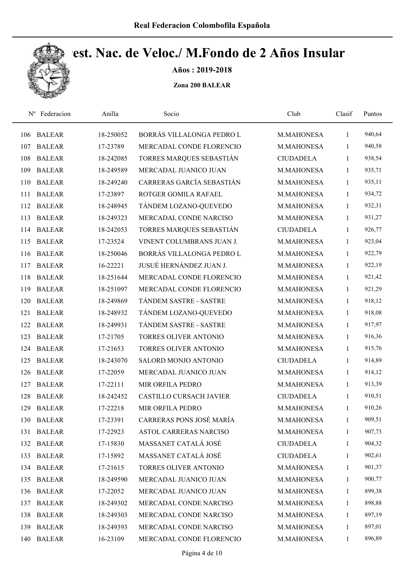

Años : 2019-2018

| $N^{\rm o}$ | Federacion    | Anilla    | Socio                          | Club             | Clasif       | Puntos |
|-------------|---------------|-----------|--------------------------------|------------------|--------------|--------|
| 106         | <b>BALEAR</b> | 18-250052 | BORRÁS VILLALONGA PEDRO L      | M.MAHONESA       | $\mathbf{1}$ | 940,64 |
| 107         | <b>BALEAR</b> | 17-23789  | MERCADAL CONDE FLORENCIO       | M.MAHONESA       | 1            | 940,58 |
| 108         | <b>BALEAR</b> | 18-242085 | TORRES MARQUES SEBASTIÁN       | <b>CIUDADELA</b> | $\mathbf{1}$ | 938,54 |
| 109         | <b>BALEAR</b> | 18-249589 | MERCADAL JUANICO JUAN          | M.MAHONESA       | $\mathbf{1}$ | 935,71 |
| 110         | <b>BALEAR</b> | 18-249240 | CARRERAS GARCÍA SEBASTIÁN      | M.MAHONESA       | $\mathbf{1}$ | 935,11 |
| 111         | <b>BALEAR</b> | 17-23897  | ROTGER GOMILA RAFAEL           | M.MAHONESA       | $\mathbf{1}$ | 934,72 |
| 112         | <b>BALEAR</b> | 18-248945 | TÁNDEM LOZANO-QUEVEDO          | M.MAHONESA       | $\mathbf{1}$ | 932,31 |
| 113         | <b>BALEAR</b> | 18-249323 | MERCADAL CONDE NARCISO         | M.MAHONESA       | $\mathbf{1}$ | 931,27 |
| 114         | <b>BALEAR</b> | 18-242053 | TORRES MARQUES SEBASTIÁN       | <b>CIUDADELA</b> | 1            | 926,77 |
| 115         | <b>BALEAR</b> | 17-23524  | VINENT COLUMBRANS JUAN J.      | M.MAHONESA       | $\mathbf{1}$ | 923,04 |
| 116         | <b>BALEAR</b> | 18-250046 | BORRÁS VILLALONGA PEDRO L      | M.MAHONESA       | $\mathbf{1}$ | 922,79 |
| 117         | <b>BALEAR</b> | 16-22221  | JUSUÉ HERNÁNDEZ JUAN J.        | M.MAHONESA       | $\mathbf{1}$ | 922,19 |
| 118         | <b>BALEAR</b> | 18-251644 | MERCADAL CONDE FLORENCIO       | M.MAHONESA       | 1            | 921,42 |
| 119         | <b>BALEAR</b> | 18-251097 | MERCADAL CONDE FLORENCIO       | M.MAHONESA       | $\mathbf{1}$ | 921,29 |
| 120         | <b>BALEAR</b> | 18-249869 | TÁNDEM SASTRE - SASTRE         | M.MAHONESA       | $\mathbf{1}$ | 918,12 |
| 121         | <b>BALEAR</b> | 18-248932 | TÁNDEM LOZANO-QUEVEDO          | M.MAHONESA       | $\mathbf{1}$ | 918,08 |
| 122         | <b>BALEAR</b> | 18-249931 | TÁNDEM SASTRE - SASTRE         | M.MAHONESA       | $\mathbf{1}$ | 917,97 |
| 123         | <b>BALEAR</b> | 17-21705  | TORRES OLIVER ANTONIO          | M.MAHONESA       | $\mathbf{1}$ | 916,36 |
| 124         | <b>BALEAR</b> | 17-21653  | TORRES OLIVER ANTONIO          | M.MAHONESA       | $\mathbf{1}$ | 915,76 |
| 125         | <b>BALEAR</b> | 18-243070 | SALORD MONJO ANTONIO           | <b>CIUDADELA</b> | $\mathbf{1}$ | 914,89 |
| 126         | <b>BALEAR</b> | 17-22059  | MERCADAL JUANICO JUAN          | M.MAHONESA       | $\mathbf{1}$ | 914,12 |
| 127         | <b>BALEAR</b> | 17-22111  | MIR ORFILA PEDRO               | M.MAHONESA       | $\mathbf{1}$ | 913,39 |
| 128         | <b>BALEAR</b> | 18-242452 | <b>CASTILLO CURSACH JAVIER</b> | <b>CIUDADELA</b> | $\mathbf{1}$ | 910,51 |
| 129         | <b>BALEAR</b> | 17-22218  | MIR ORFILA PEDRO               | M.MAHONESA       | $\mathbf{1}$ | 910,26 |
| 130         | <b>BALEAR</b> | 17-23391  | CARRERAS PONS JOSÉ MARÍA       | M.MAHONESA       | 1            | 909,51 |
| 131         | <b>BALEAR</b> | 17-22923  | <b>ASTOL CARRERAS NARCISO</b>  | M.MAHONESA       | $\mathbf{1}$ | 907,73 |
|             | 132 BALEAR    | 17-15830  | MASSANET CATALÁ JOSÉ           | <b>CIUDADELA</b> | $\mathbf{1}$ | 904,32 |
| 133         | <b>BALEAR</b> | 17-15892  | MASSANET CATALÁ JOSÉ           | <b>CIUDADELA</b> | $\mathbf{1}$ | 902,61 |
|             | 134 BALEAR    | 17-21615  | TORRES OLIVER ANTONIO          | M.MAHONESA       | $\mathbf{1}$ | 901,37 |
|             | 135 BALEAR    | 18-249590 | MERCADAL JUANICO JUAN          | M.MAHONESA       | $\mathbf{1}$ | 900,77 |
| 136         | <b>BALEAR</b> | 17-22052  | MERCADAL JUANICO JUAN          | M.MAHONESA       | $\mathbf{1}$ | 899,38 |
| 137         | <b>BALEAR</b> | 18-249302 | MERCADAL CONDE NARCISO         | M.MAHONESA       | $\mathbf{1}$ | 898,88 |
| 138         | <b>BALEAR</b> | 18-249303 | MERCADAL CONDE NARCISO         | M.MAHONESA       | $\mathbf{1}$ | 897,19 |
| 139         | <b>BALEAR</b> | 18-249393 | MERCADAL CONDE NARCISO         | M.MAHONESA       | $\mathbf{1}$ | 897,01 |
| 140         | <b>BALEAR</b> | 16-23109  | MERCADAL CONDE FLORENCIO       | M.MAHONESA       | $\mathbf{1}$ | 896,89 |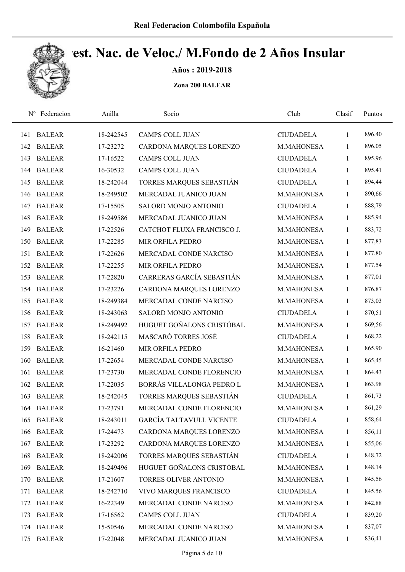

Años : 2019-2018

|     | Nº Federacion | Anilla    | Socio                           | Club             | Clasif       | Puntos |
|-----|---------------|-----------|---------------------------------|------------------|--------------|--------|
| 141 | <b>BALEAR</b> | 18-242545 | <b>CAMPS COLL JUAN</b>          | <b>CIUDADELA</b> | 1            | 896,40 |
| 142 | <b>BALEAR</b> | 17-23272  | CARDONA MARQUES LORENZO         | M.MAHONESA       | 1            | 896,05 |
| 143 | <b>BALEAR</b> | 17-16522  | <b>CAMPS COLL JUAN</b>          | <b>CIUDADELA</b> | 1            | 895,96 |
| 144 | <b>BALEAR</b> | 16-30532  | <b>CAMPS COLL JUAN</b>          | <b>CIUDADELA</b> | $\mathbf{1}$ | 895,41 |
| 145 | <b>BALEAR</b> | 18-242044 | TORRES MARQUES SEBASTIÁN        | <b>CIUDADELA</b> | $\mathbf{1}$ | 894,44 |
| 146 | <b>BALEAR</b> | 18-249502 | MERCADAL JUANICO JUAN           | M.MAHONESA       | 1            | 890,66 |
| 147 | <b>BALEAR</b> | 17-15505  | SALORD MONJO ANTONIO            | <b>CIUDADELA</b> | 1            | 888,79 |
| 148 | <b>BALEAR</b> | 18-249586 | MERCADAL JUANICO JUAN           | M.MAHONESA       | $\mathbf{1}$ | 885,94 |
| 149 | <b>BALEAR</b> | 17-22526  | CATCHOT FLUXA FRANCISCO J.      | M.MAHONESA       | 1            | 883,72 |
| 150 | <b>BALEAR</b> | 17-22285  | <b>MIR ORFILA PEDRO</b>         | M.MAHONESA       | $\mathbf{1}$ | 877,83 |
| 151 | <b>BALEAR</b> | 17-22626  | MERCADAL CONDE NARCISO          | M.MAHONESA       | 1            | 877,80 |
| 152 | <b>BALEAR</b> | 17-22255  | MIR ORFILA PEDRO                | M.MAHONESA       | 1            | 877,54 |
| 153 | <b>BALEAR</b> | 17-22820  | CARRERAS GARCÍA SEBASTIÁN       | M.MAHONESA       | 1            | 877,01 |
| 154 | <b>BALEAR</b> | 17-23226  | CARDONA MARQUES LORENZO         | M.MAHONESA       | $\mathbf{1}$ | 876,87 |
| 155 | <b>BALEAR</b> | 18-249384 | MERCADAL CONDE NARCISO          | M.MAHONESA       | 1            | 873,03 |
| 156 | <b>BALEAR</b> | 18-243063 | SALORD MONJO ANTONIO            | <b>CIUDADELA</b> | 1            | 870,51 |
| 157 | <b>BALEAR</b> | 18-249492 | HUGUET GOÑALONS CRISTÓBAL       | M.MAHONESA       | 1            | 869,56 |
| 158 | <b>BALEAR</b> | 18-242115 | MASCARÓ TORRES JOSÉ             | <b>CIUDADELA</b> | 1            | 868,22 |
| 159 | <b>BALEAR</b> | 16-21460  | MIR ORFILA PEDRO                | M.MAHONESA       | 1            | 865,90 |
| 160 | <b>BALEAR</b> | 17-22654  | MERCADAL CONDE NARCISO          | M.MAHONESA       | $\mathbf{1}$ | 865,45 |
| 161 | <b>BALEAR</b> | 17-23730  | MERCADAL CONDE FLORENCIO        | M.MAHONESA       | $\mathbf{1}$ | 864,43 |
| 162 | <b>BALEAR</b> | 17-22035  | BORRÁS VILLALONGA PEDRO L       | M.MAHONESA       | 1            | 863,98 |
| 163 | <b>BALEAR</b> | 18-242045 | TORRES MARQUES SEBASTIÁN        | <b>CIUDADELA</b> | 1            | 861,73 |
|     | 164 BALEAR    | 17-23791  | MERCADAL CONDE FLORENCIO        | M.MAHONESA       | $\mathbf{1}$ | 861,29 |
| 165 | <b>BALEAR</b> | 18-243011 | <b>GARCÍA TALTAVULL VICENTE</b> | <b>CIUDADELA</b> | 1            | 858,64 |
| 166 | <b>BALEAR</b> | 17-24473  | CARDONA MARQUES LORENZO         | M.MAHONESA       | $\mathbf{1}$ | 856,11 |
| 167 | <b>BALEAR</b> | 17-23292  | CARDONA MARQUES LORENZO         | M.MAHONESA       | $\mathbf{1}$ | 855,06 |
| 168 | <b>BALEAR</b> | 18-242006 | TORRES MARQUES SEBASTIÁN        | <b>CIUDADELA</b> | 1            | 848,72 |
| 169 | <b>BALEAR</b> | 18-249496 | HUGUET GOÑALONS CRISTÓBAL       | M.MAHONESA       | 1            | 848,14 |
| 170 | <b>BALEAR</b> | 17-21607  | TORRES OLIVER ANTONIO           | M.MAHONESA       | 1            | 845,56 |
| 171 | <b>BALEAR</b> | 18-242710 | VIVO MARQUES FRANCISCO          | <b>CIUDADELA</b> | $\mathbf{1}$ | 845,56 |
| 172 | <b>BALEAR</b> | 16-22349  | MERCADAL CONDE NARCISO          | M.MAHONESA       | 1            | 842,88 |
| 173 | <b>BALEAR</b> | 17-16562  | CAMPS COLL JUAN                 | <b>CIUDADELA</b> | $\mathbf{1}$ | 839,20 |
| 174 | <b>BALEAR</b> | 15-50546  | MERCADAL CONDE NARCISO          | M.MAHONESA       | 1            | 837,07 |
| 175 | <b>BALEAR</b> | 17-22048  | MERCADAL JUANICO JUAN           | M.MAHONESA       | $\mathbf{1}$ | 836,41 |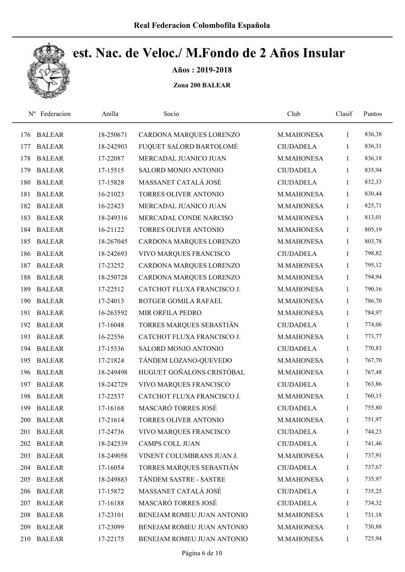

Años : 2019-2018

| $N^{\rm o}$ | Federacion    | Anilla    | Socio                      | Club             | Clasif       | Puntos |
|-------------|---------------|-----------|----------------------------|------------------|--------------|--------|
| 176         | <b>BALEAR</b> | 18-250671 | CARDONA MARQUES LORENZO    | M.MAHONESA       | 1            | 836,38 |
| 177         | <b>BALEAR</b> | 18-242903 | FUQUET SALORD BARTOLOMÉ    | <b>CIUDADELA</b> | 1            | 836,31 |
| 178         | <b>BALEAR</b> | 17-22087  | MERCADAL JUANICO JUAN      | M.MAHONESA       | 1            | 836,18 |
| 179         | <b>BALEAR</b> | 17-15515  | SALORD MONJO ANTONIO       | <b>CIUDADELA</b> | $\mathbf{1}$ | 835,94 |
| 180         | <b>BALEAR</b> | 17-15828  | MASSANET CATALÁ JOSÉ       | <b>CIUDADELA</b> | $\mathbf{1}$ | 832,33 |
| 181         | <b>BALEAR</b> | 16-21023  | TORRES OLIVER ANTONIO      | M.MAHONESA       | $\mathbf{1}$ | 830,44 |
| 182         | <b>BALEAR</b> | 16-22423  | MERCADAL JUANICO JUAN      | M.MAHONESA       | $\mathbf{1}$ | 825,71 |
| 183         | <b>BALEAR</b> | 18-249316 | MERCADAL CONDE NARCISO     | M.MAHONESA       | $\mathbf{1}$ | 813,01 |
| 184         | <b>BALEAR</b> | 16-21122  | TORRES OLIVER ANTONIO      | M.MAHONESA       | $\mathbf{1}$ | 805,19 |
| 185         | <b>BALEAR</b> | 18-267045 | CARDONA MARQUES LORENZO    | M.MAHONESA       | $\mathbf{1}$ | 803,78 |
| 186         | <b>BALEAR</b> | 18-242693 | VIVO MARQUES FRANCISCO     | <b>CIUDADELA</b> | $\mathbf{1}$ | 798,82 |
| 187         | <b>BALEAR</b> | 17-23252  | CARDONA MARQUES LORENZO    | M.MAHONESA       | 1            | 795,12 |
| 188         | <b>BALEAR</b> | 18-250728 | CARDONA MARQUES LORENZO    | M.MAHONESA       | 1            | 794,94 |
| 189         | <b>BALEAR</b> | 17-22512  | CATCHOT FLUXA FRANCISCO J. | M.MAHONESA       | $\mathbf{1}$ | 790,16 |
| 190         | <b>BALEAR</b> | 17-24013  | ROTGER GOMILA RAFAEL       | M.MAHONESA       | 1            | 786,70 |
| 191         | <b>BALEAR</b> | 16-263592 | MIR ORFILA PEDRO           | M.MAHONESA       | $\mathbf{1}$ | 784,97 |
| 192         | <b>BALEAR</b> | 17-16048  | TORRES MARQUES SEBASTIÁN   | <b>CIUDADELA</b> | $\mathbf{1}$ | 774,06 |
| 193         | <b>BALEAR</b> | 16-22556  | CATCHOT FLUXA FRANCISCO J. | M.MAHONESA       | $\mathbf{1}$ | 773,77 |
| 194         | <b>BALEAR</b> | 17-15536  | SALORD MONJO ANTONIO       | <b>CIUDADELA</b> | $\mathbf{1}$ | 770,83 |
| 195         | <b>BALEAR</b> | 17-21824  | TÁNDEM LOZANO-QUEVEDO      | M.MAHONESA       | $\mathbf{1}$ | 767,70 |
| 196         | <b>BALEAR</b> | 18-249498 | HUGUET GOÑALONS CRISTÓBAL  | M.MAHONESA       | $\mathbf{1}$ | 767,48 |
| 197         | <b>BALEAR</b> | 18-242729 | VIVO MARQUES FRANCISCO     | <b>CIUDADELA</b> | 1            | 763,86 |
| 198         | <b>BALEAR</b> | 17-22537  | CATCHOT FLUXA FRANCISCO J. | M.MAHONESA       | $\mathbf{1}$ | 760,15 |
| 199         | <b>BALEAR</b> | 17-16168  | MASCARÓ TORRES JOSÉ        | <b>CIUDADELA</b> | $\mathbf{1}$ | 755,80 |
| <b>200</b>  | <b>BALEAR</b> | 17-21614  | TORRES OLIVER ANTONIO      | M.MAHONESA       | 1            | 751,97 |
| 201         | <b>BALEAR</b> | 17-24736  | VIVO MARQUES FRANCISCO     | <b>CIUDADELA</b> | $\mathbf{1}$ | 744,23 |
|             | 202 BALEAR    | 18-242539 | CAMPS COLL JUAN            | <b>CIUDADELA</b> | 1            | 741,46 |
| 203         | <b>BALEAR</b> | 18-249058 | VINENT COLUMBRANS JUAN J.  | M.MAHONESA       | $\mathbf{1}$ | 737,91 |
| 204         | <b>BALEAR</b> | 17-16054  | TORRES MARQUES SEBASTIÁN   | <b>CIUDADELA</b> | $\mathbf{1}$ | 737,67 |
| 205         | <b>BALEAR</b> | 18-249883 | TÁNDEM SASTRE - SASTRE     | M.MAHONESA       | $\mathbf{1}$ | 735,97 |
| 206         | <b>BALEAR</b> | 17-15872  | MASSANET CATALÁ JOSÉ       | <b>CIUDADELA</b> | $\mathbf{1}$ | 735,25 |
| 207         | <b>BALEAR</b> | 17-16188  | MASCARÓ TORRES JOSÉ        | <b>CIUDADELA</b> | $\mathbf{1}$ | 734,32 |
| 208         | <b>BALEAR</b> | 17-23101  | BENEJAM ROMEU JUAN ANTONIO | M.MAHONESA       | $\mathbf{1}$ | 731,18 |
| 209         | <b>BALEAR</b> | 17-23099  | BENEJAM ROMEU JUAN ANTONIO | M.MAHONESA       | 1            | 730,88 |
| 210         | <b>BALEAR</b> | 17-22175  | BENEJAM ROMEU JUAN ANTONIO | M.MAHONESA       | $\mathbf{1}$ | 725,94 |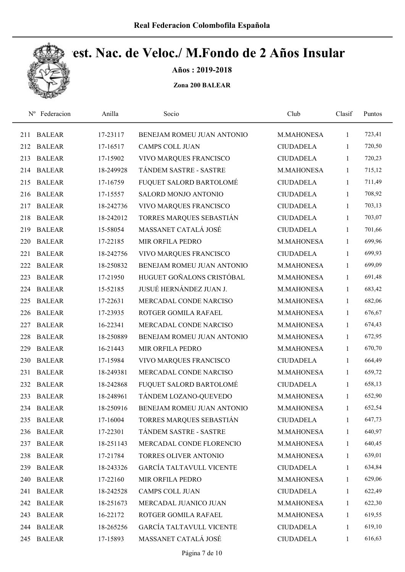

Años : 2019-2018

|     | Nº Federacion | Anilla    | Socio                           | Club             | Clasif       | Puntos |
|-----|---------------|-----------|---------------------------------|------------------|--------------|--------|
| 211 | <b>BALEAR</b> | 17-23117  | BENEJAM ROMEU JUAN ANTONIO      | M.MAHONESA       | $\mathbf{1}$ | 723,41 |
| 212 | <b>BALEAR</b> | 17-16517  | <b>CAMPS COLL JUAN</b>          | <b>CIUDADELA</b> | 1            | 720,50 |
| 213 | <b>BALEAR</b> | 17-15902  | VIVO MARQUES FRANCISCO          | <b>CIUDADELA</b> | 1            | 720,23 |
| 214 | <b>BALEAR</b> | 18-249928 | TÁNDEM SASTRE - SASTRE          | M.MAHONESA       | $\mathbf{1}$ | 715,12 |
| 215 | <b>BALEAR</b> | 17-16759  | FUQUET SALORD BARTOLOMÉ         | <b>CIUDADELA</b> | $\mathbf{1}$ | 711,49 |
| 216 | <b>BALEAR</b> | 17-15557  | SALORD MONJO ANTONIO            | <b>CIUDADELA</b> | $\mathbf{1}$ | 708,92 |
| 217 | <b>BALEAR</b> | 18-242736 | VIVO MARQUES FRANCISCO          | <b>CIUDADELA</b> | $\mathbf{1}$ | 703,13 |
| 218 | <b>BALEAR</b> | 18-242012 | TORRES MARQUES SEBASTIÁN        | <b>CIUDADELA</b> | $\mathbf{1}$ | 703,07 |
| 219 | <b>BALEAR</b> | 15-58054  | MASSANET CATALÁ JOSÉ            | <b>CIUDADELA</b> | 1            | 701,66 |
| 220 | <b>BALEAR</b> | 17-22185  | MIR ORFILA PEDRO                | M.MAHONESA       | $\mathbf{1}$ | 699,96 |
| 221 | <b>BALEAR</b> | 18-242756 | VIVO MARQUES FRANCISCO          | <b>CIUDADELA</b> | 1            | 699,93 |
| 222 | <b>BALEAR</b> | 18-250832 | BENEJAM ROMEU JUAN ANTONIO      | M.MAHONESA       | $\mathbf{1}$ | 699,09 |
| 223 | <b>BALEAR</b> | 17-21950  | HUGUET GOÑALONS CRISTÓBAL       | M.MAHONESA       | $\mathbf{1}$ | 691,48 |
| 224 | <b>BALEAR</b> | 15-52185  | JUSUÉ HERNÁNDEZ JUAN J.         | M.MAHONESA       | $\mathbf{1}$ | 683,42 |
| 225 | <b>BALEAR</b> | 17-22631  | MERCADAL CONDE NARCISO          | M.MAHONESA       | 1            | 682,06 |
| 226 | <b>BALEAR</b> | 17-23935  | ROTGER GOMILA RAFAEL            | M.MAHONESA       | $\mathbf{1}$ | 676,67 |
| 227 | <b>BALEAR</b> | 16-22341  | MERCADAL CONDE NARCISO          | M.MAHONESA       | 1            | 674,43 |
| 228 | <b>BALEAR</b> | 18-250889 | BENEJAM ROMEU JUAN ANTONIO      | M.MAHONESA       | $\mathbf{1}$ | 672,95 |
| 229 | <b>BALEAR</b> | 16-21443  | MIR ORFILA PEDRO                | M.MAHONESA       | $\mathbf{1}$ | 670,70 |
| 230 | <b>BALEAR</b> | 17-15984  | VIVO MARQUES FRANCISCO          | <b>CIUDADELA</b> | $\mathbf{1}$ | 664,49 |
| 231 | <b>BALEAR</b> | 18-249381 | MERCADAL CONDE NARCISO          | M.MAHONESA       | $\mathbf{1}$ | 659,72 |
| 232 | <b>BALEAR</b> | 18-242868 | FUQUET SALORD BARTOLOMÉ         | <b>CIUDADELA</b> | 1            | 658,13 |
| 233 | <b>BALEAR</b> | 18-248961 | TÁNDEM LOZANO-QUEVEDO           | M.MAHONESA       | $\mathbf{1}$ | 652,90 |
|     | 234 BALEAR    | 18-250916 | BENEJAM ROMEU JUAN ANTONIO      | M.MAHONESA       | 1            | 652,54 |
| 235 | <b>BALEAR</b> | 17-16004  | TORRES MARQUES SEBASTIÁN        | <b>CIUDADELA</b> | $\mathbf{1}$ | 647,73 |
| 236 | <b>BALEAR</b> | 17-22301  | TÁNDEM SASTRE - SASTRE          | M.MAHONESA       | $\mathbf{1}$ | 640,97 |
| 237 | <b>BALEAR</b> | 18-251143 | MERCADAL CONDE FLORENCIO        | M.MAHONESA       | $\mathbf{1}$ | 640,45 |
| 238 | <b>BALEAR</b> | 17-21784  | TORRES OLIVER ANTONIO           | M.MAHONESA       | $\mathbf{1}$ | 639,01 |
| 239 | <b>BALEAR</b> | 18-243326 | <b>GARCÍA TALTAVULL VICENTE</b> | <b>CIUDADELA</b> | $\mathbf{1}$ | 634,84 |
| 240 | <b>BALEAR</b> | 17-22160  | MIR ORFILA PEDRO                | M.MAHONESA       | 1            | 629,06 |
| 241 | <b>BALEAR</b> | 18-242528 | CAMPS COLL JUAN                 | <b>CIUDADELA</b> | $\mathbf{1}$ | 622,49 |
| 242 | <b>BALEAR</b> | 18-251673 | MERCADAL JUANICO JUAN           | M.MAHONESA       | $\mathbf{1}$ | 622,30 |
| 243 | <b>BALEAR</b> | 16-22172  | ROTGER GOMILA RAFAEL            | M.MAHONESA       | $\mathbf{1}$ | 619,55 |
| 244 | <b>BALEAR</b> | 18-265256 | <b>GARCÍA TALTAVULL VICENTE</b> | <b>CIUDADELA</b> | 1            | 619,10 |
| 245 | <b>BALEAR</b> | 17-15893  | MASSANET CATALÁ JOSÉ            | <b>CIUDADELA</b> | $\mathbf{1}$ | 616,63 |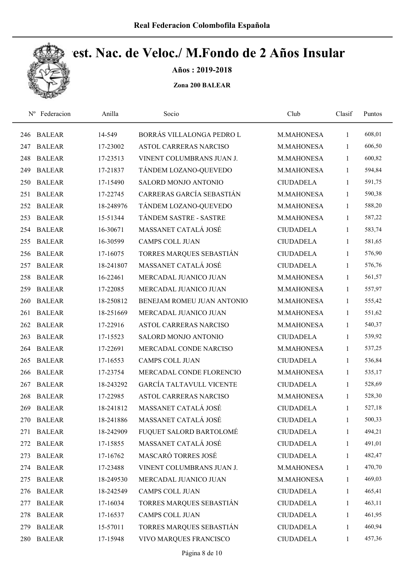

Años : 2019-2018

|     | Nº Federacion | Anilla    | Socio                           | Club             | Clasif       | Puntos |
|-----|---------------|-----------|---------------------------------|------------------|--------------|--------|
| 246 | <b>BALEAR</b> | 14-549    | BORRÁS VILLALONGA PEDRO L       | M.MAHONESA       | 1            | 608,01 |
| 247 | <b>BALEAR</b> | 17-23002  | ASTOL CARRERAS NARCISO          | M.MAHONESA       | 1            | 606,50 |
| 248 | <b>BALEAR</b> | 17-23513  | VINENT COLUMBRANS JUAN J.       | M.MAHONESA       | 1            | 600,82 |
| 249 | <b>BALEAR</b> | 17-21837  | TÁNDEM LOZANO-QUEVEDO           | M.MAHONESA       | 1            | 594,84 |
| 250 | <b>BALEAR</b> | 17-15490  | SALORD MONJO ANTONIO            | <b>CIUDADELA</b> | 1            | 591,75 |
| 251 | <b>BALEAR</b> | 17-22745  | CARRERAS GARCÍA SEBASTIÁN       | M.MAHONESA       | 1            | 590,38 |
| 252 | <b>BALEAR</b> | 18-248976 | TÁNDEM LOZANO-QUEVEDO           | M.MAHONESA       | 1            | 588,20 |
| 253 | <b>BALEAR</b> | 15-51344  | TÁNDEM SASTRE - SASTRE          | M.MAHONESA       | $\mathbf{1}$ | 587,22 |
| 254 | <b>BALEAR</b> | 16-30671  | MASSANET CATALÁ JOSÉ            | <b>CIUDADELA</b> | 1            | 583,74 |
| 255 | <b>BALEAR</b> | 16-30599  | <b>CAMPS COLL JUAN</b>          | <b>CIUDADELA</b> | 1            | 581,65 |
| 256 | <b>BALEAR</b> | 17-16075  | TORRES MARQUES SEBASTIÁN        | <b>CIUDADELA</b> | $\mathbf{1}$ | 576,90 |
| 257 | <b>BALEAR</b> | 18-241807 | MASSANET CATALÁ JOSÉ            | <b>CIUDADELA</b> | 1            | 576,76 |
| 258 | <b>BALEAR</b> | 16-22461  | MERCADAL JUANICO JUAN           | M.MAHONESA       | 1            | 561,57 |
| 259 | <b>BALEAR</b> | 17-22085  | MERCADAL JUANICO JUAN           | M.MAHONESA       | 1            | 557,97 |
| 260 | <b>BALEAR</b> | 18-250812 | BENEJAM ROMEU JUAN ANTONIO      | M.MAHONESA       | 1            | 555,42 |
| 261 | <b>BALEAR</b> | 18-251669 | MERCADAL JUANICO JUAN           | M.MAHONESA       | 1            | 551,62 |
| 262 | <b>BALEAR</b> | 17-22916  | ASTOL CARRERAS NARCISO          | M.MAHONESA       | 1            | 540,37 |
| 263 | <b>BALEAR</b> | 17-15523  | SALORD MONJO ANTONIO            | <b>CIUDADELA</b> | 1            | 539,92 |
| 264 | <b>BALEAR</b> | 17-22691  | MERCADAL CONDE NARCISO          | M.MAHONESA       | 1            | 537,25 |
| 265 | <b>BALEAR</b> | 17-16553  | <b>CAMPS COLL JUAN</b>          | <b>CIUDADELA</b> | $\mathbf{1}$ | 536,84 |
| 266 | <b>BALEAR</b> | 17-23754  | MERCADAL CONDE FLORENCIO        | M.MAHONESA       | $\mathbf{1}$ | 535,17 |
| 267 | <b>BALEAR</b> | 18-243292 | <b>GARCÍA TALTAVULL VICENTE</b> | <b>CIUDADELA</b> | 1            | 528,69 |
| 268 | <b>BALEAR</b> | 17-22985  | ASTOL CARRERAS NARCISO          | M.MAHONESA       | 1            | 528,30 |
| 269 | <b>BALEAR</b> | 18-241812 | MASSANET CATALÁ JOSÉ            | <b>CIUDADELA</b> | $\mathbf{1}$ | 527,18 |
| 270 | <b>BALEAR</b> | 18-241886 | MASSANET CATALÁ JOSÉ            | <b>CIUDADELA</b> | 1            | 500,33 |
| 271 | <b>BALEAR</b> | 18-242909 | FUQUET SALORD BARTOLOMÉ         | <b>CIUDADELA</b> | $\mathbf{1}$ | 494,21 |
| 272 | <b>BALEAR</b> | 17-15855  | MASSANET CATALÁ JOSÉ            | <b>CIUDADELA</b> | 1            | 491,01 |
| 273 | <b>BALEAR</b> | 17-16762  | MASCARÓ TORRES JOSÉ             | <b>CIUDADELA</b> | 1            | 482,47 |
| 274 | <b>BALEAR</b> | 17-23488  | VINENT COLUMBRANS JUAN J.       | M.MAHONESA       | 1            | 470,70 |
| 275 | <b>BALEAR</b> | 18-249530 | MERCADAL JUANICO JUAN           | M.MAHONESA       | 1            | 469,03 |
| 276 | <b>BALEAR</b> | 18-242549 | CAMPS COLL JUAN                 | <b>CIUDADELA</b> | $\mathbf{1}$ | 465,41 |
| 277 | <b>BALEAR</b> | 17-16034  | TORRES MARQUES SEBASTIÁN        | <b>CIUDADELA</b> | 1            | 463,11 |
| 278 | <b>BALEAR</b> | 17-16537  | CAMPS COLL JUAN                 | <b>CIUDADELA</b> | 1            | 461,95 |
| 279 | <b>BALEAR</b> | 15-57011  | TORRES MARQUES SEBASTIÁN        | <b>CIUDADELA</b> | 1            | 460,94 |
| 280 | <b>BALEAR</b> | 17-15948  | VIVO MARQUES FRANCISCO          | <b>CIUDADELA</b> | 1            | 457,36 |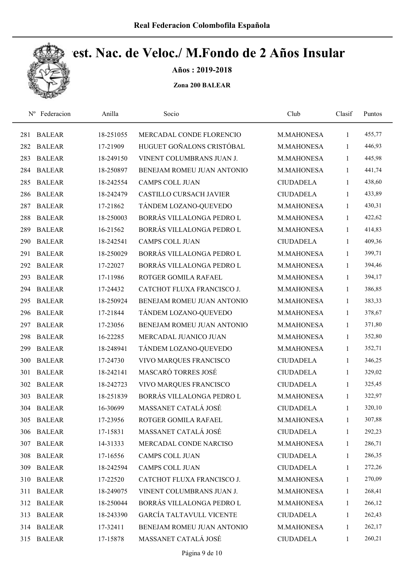

Años : 2019-2018

| $N^{\rm o}$ | Federacion    | Anilla    | Socio                           | Club             | Clasif       | Puntos |
|-------------|---------------|-----------|---------------------------------|------------------|--------------|--------|
| 281         | <b>BALEAR</b> | 18-251055 | MERCADAL CONDE FLORENCIO        | M.MAHONESA       | 1            | 455,77 |
| 282         | <b>BALEAR</b> | 17-21909  | HUGUET GOÑALONS CRISTÓBAL       | M.MAHONESA       | 1            | 446,93 |
| 283         | <b>BALEAR</b> | 18-249150 | VINENT COLUMBRANS JUAN J.       | M.MAHONESA       | 1            | 445,98 |
| 284         | <b>BALEAR</b> | 18-250897 | BENEJAM ROMEU JUAN ANTONIO      | M.MAHONESA       | 1            | 441,74 |
| 285         | <b>BALEAR</b> | 18-242554 | <b>CAMPS COLL JUAN</b>          | <b>CIUDADELA</b> | $\mathbf{1}$ | 438,60 |
| 286         | <b>BALEAR</b> | 18-242479 | <b>CASTILLO CURSACH JAVIER</b>  | <b>CIUDADELA</b> | $\mathbf{1}$ | 433,89 |
| 287         | <b>BALEAR</b> | 17-21862  | TÁNDEM LOZANO-QUEVEDO           | M.MAHONESA       | 1            | 430,31 |
| 288         | <b>BALEAR</b> | 18-250003 | BORRÁS VILLALONGA PEDRO L       | M.MAHONESA       | 1            | 422,62 |
| 289         | <b>BALEAR</b> | 16-21562  | BORRÁS VILLALONGA PEDRO L       | M.MAHONESA       | 1            | 414,83 |
| 290         | <b>BALEAR</b> | 18-242541 | <b>CAMPS COLL JUAN</b>          | <b>CIUDADELA</b> | $\mathbf{1}$ | 409,36 |
| 291         | <b>BALEAR</b> | 18-250029 | BORRÁS VILLALONGA PEDRO L       | M.MAHONESA       | 1            | 399,71 |
| 292         | <b>BALEAR</b> | 17-22027  | BORRÁS VILLALONGA PEDRO L       | M.MAHONESA       | 1            | 394,46 |
| 293         | <b>BALEAR</b> | 17-11986  | ROTGER GOMILA RAFAEL            | M.MAHONESA       | 1            | 394,17 |
| 294         | <b>BALEAR</b> | 17-24432  | CATCHOT FLUXA FRANCISCO J.      | M.MAHONESA       | $\mathbf{1}$ | 386,85 |
| 295         | <b>BALEAR</b> | 18-250924 | BENEJAM ROMEU JUAN ANTONIO      | M.MAHONESA       | $\mathbf{1}$ | 383,33 |
| 296         | <b>BALEAR</b> | 17-21844  | TÁNDEM LOZANO-QUEVEDO           | M.MAHONESA       | 1            | 378,67 |
| 297         | <b>BALEAR</b> | 17-23056  | BENEJAM ROMEU JUAN ANTONIO      | M.MAHONESA       | 1            | 371,80 |
| 298         | <b>BALEAR</b> | 16-22285  | MERCADAL JUANICO JUAN           | M.MAHONESA       | $\mathbf{1}$ | 352,80 |
| 299         | <b>BALEAR</b> | 18-248941 | TÁNDEM LOZANO-QUEVEDO           | M.MAHONESA       | 1            | 352,71 |
| 300         | <b>BALEAR</b> | 17-24730  | VIVO MARQUES FRANCISCO          | <b>CIUDADELA</b> | $\mathbf{1}$ | 346,25 |
| 301         | <b>BALEAR</b> | 18-242141 | MASCARÓ TORRES JOSÉ             | <b>CIUDADELA</b> | $\mathbf{1}$ | 329,02 |
| 302         | <b>BALEAR</b> | 18-242723 | VIVO MARQUES FRANCISCO          | <b>CIUDADELA</b> | 1            | 325,45 |
| 303         | <b>BALEAR</b> | 18-251839 | BORRÁS VILLALONGA PEDRO L       | M.MAHONESA       | 1            | 322,97 |
|             | 304 BALEAR    | 16-30699  | MASSANET CATALÁ JOSÉ            | <b>CIUDADELA</b> | $\mathbf{1}$ | 320,10 |
| 305         | <b>BALEAR</b> | 17-23956  | ROTGER GOMILA RAFAEL            | M.MAHONESA       | 1            | 307,88 |
| 306         | <b>BALEAR</b> | 17-15831  | MASSANET CATALÁ JOSÉ            | <b>CIUDADELA</b> | $\mathbf{1}$ | 292,23 |
| 307         | <b>BALEAR</b> | 14-31333  | MERCADAL CONDE NARCISO          | M.MAHONESA       | 1            | 286,71 |
| 308         | <b>BALEAR</b> | 17-16556  | CAMPS COLL JUAN                 | <b>CIUDADELA</b> | $\mathbf{1}$ | 286,35 |
| 309         | <b>BALEAR</b> | 18-242594 | CAMPS COLL JUAN                 | <b>CIUDADELA</b> | 1            | 272,26 |
| 310         | BALEAR        | 17-22520  | CATCHOT FLUXA FRANCISCO J.      | M.MAHONESA       | 1            | 270,09 |
| 311         | <b>BALEAR</b> | 18-249075 | VINENT COLUMBRANS JUAN J.       | M.MAHONESA       | $\mathbf{1}$ | 268,41 |
| 312         | <b>BALEAR</b> | 18-250044 | BORRÁS VILLALONGA PEDRO L       | M.MAHONESA       | 1            | 266,12 |
| 313         | <b>BALEAR</b> | 18-243390 | <b>GARCÍA TALTAVULL VICENTE</b> | <b>CIUDADELA</b> | 1            | 262,43 |
|             | 314 BALEAR    | 17-32411  | BENEJAM ROMEU JUAN ANTONIO      | M.MAHONESA       | 1            | 262,17 |
| 315         | <b>BALEAR</b> | 17-15878  | MASSANET CATALÁ JOSÉ            | <b>CIUDADELA</b> | $\mathbf{1}$ | 260,21 |